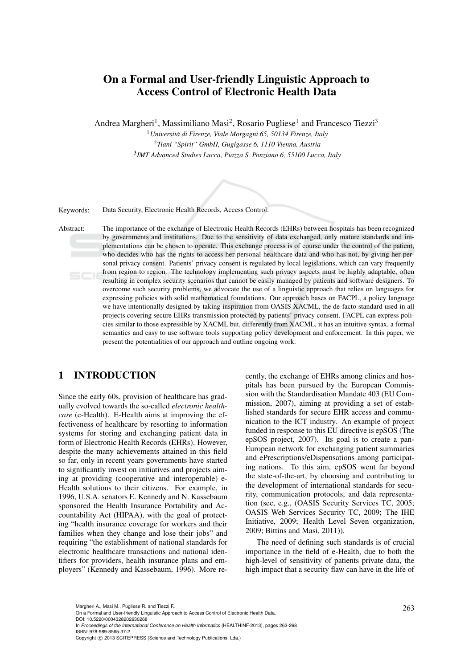# On a Formal and User-friendly Linguistic Approach to Access Control of Electronic Health Data

Andrea Margheri<sup>1</sup>, Massimiliano Masi<sup>2</sup>, Rosario Pugliese<sup>1</sup> and Francesco Tiezzi<sup>3</sup>

<sup>1</sup>*Universita di Firenze, Viale Morgagni 65, 50134 Firenze, Italy `* <sup>2</sup>*Tiani "Spirit" GmbH, Guglgasse 6, 1110 Vienna, Austria* 3 *IMT Advanced Studies Lucca, Piazza S. Ponziano 6, 55100 Lucca, Italy*



Keywords: Data Security, Electronic Health Records, Access Control.

Abstract: The importance of the exchange of Electronic Health Records (EHRs) between hospitals has been recognized by governments and institutions. Due to the sensitivity of data exchanged, only mature standards and implementations can be chosen to operate. This exchange process is of course under the control of the patient, who decides who has the rights to access her personal healthcare data and who has not, by giving her personal privacy consent. Patients' privacy consent is regulated by local legislations, which can vary frequently from region to region. The technology implementing such privacy aspects must be highly adaptable, often  $SCI$ resulting in complex security scenarios that cannot be easily managed by patients and software designers. To overcome such security problems, we advocate the use of a linguistic approach that relies on languages for expressing policies with solid mathematical foundations. Our approach bases on FACPL, a policy language we have intentionally designed by taking inspiration from OASIS XACML, the de-facto standard used in all projects covering secure EHRs transmission protected by patients' privacy consent. FACPL can express policies similar to those expressible by XACML but, differently from XACML, it has an intuitive syntax, a formal semantics and easy to use software tools supporting policy development and enforcement. In this paper, we present the potentialities of our approach and outline ongoing work.

## 1 INTRODUCTION

Since the early 60s, provision of healthcare has gradually evolved towards the so-called *electronic healthcare* (e-Health). E-Health aims at improving the effectiveness of healthcare by resorting to information systems for storing and exchanging patient data in form of Electronic Health Records (EHRs). However, despite the many achievements attained in this field so far, only in recent years governments have started to significantly invest on initiatives and projects aiming at providing (cooperative and interoperable) e-Health solutions to their citizens. For example, in 1996, U.S.A. senators E. Kennedy and N. Kassebaum sponsored the Health Insurance Portability and Accountability Act (HIPAA), with the goal of protecting "health insurance coverage for workers and their families when they change and lose their jobs" and requiring "the establishment of national standards for electronic healthcare transactions and national identifiers for providers, health insurance plans and employers" (Kennedy and Kassebaum, 1996). More recently, the exchange of EHRs among clinics and hospitals has been pursued by the European Commission with the Standardisation Mandate 403 (EU Commission, 2007), aiming at providing a set of established standards for secure EHR access and communication to the ICT industry. An example of project funded in response to this EU directive is epSOS (The epSOS project, 2007). Its goal is to create a pan-European network for exchanging patient summaries and ePrescriptions/eDispensations among participating nations. To this aim, epSOS went far beyond the state-of-the-art, by choosing and contributing to the development of international standards for security, communication protocols, and data representation (see, e.g., (OASIS Security Services TC, 2005; OASIS Web Services Security TC, 2009; The IHE Initiative, 2009; Health Level Seven organization, 2009; Bittins and Masi, 2011)).

The need of defining such standards is of crucial importance in the field of e-Health, due to both the high-level of sensitivity of patients private data, the high impact that a security flaw can have in the life of

In *Proceedings of the International Conference on Health Informatics* (HEALTHINF-2013), pages 263-268 ISBN: 978-989-8565-37-2

Copyright © 2013 SCITEPRESS (Science and Technology Publications, Lda.)

Margheri A., Masi M., Pugliese R. and Tiezzi F..<br>On a Formal and User-friendly Linguistic Approach to Access Control of Electronic Health Data. DOI: 10.5220/0004328202630268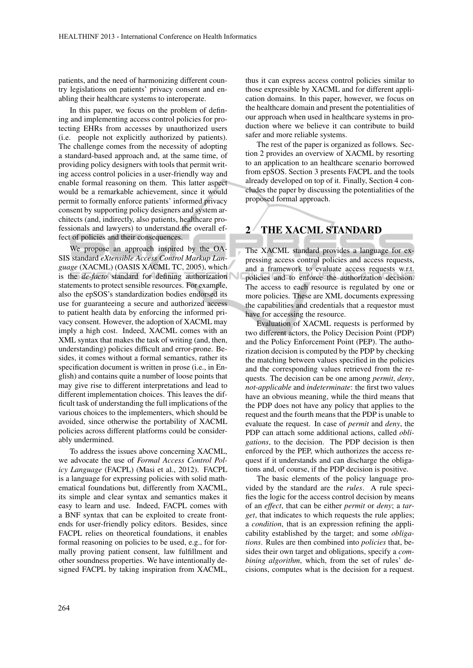patients, and the need of harmonizing different country legislations on patients' privacy consent and enabling their healthcare systems to interoperate.

In this paper, we focus on the problem of defining and implementing access control policies for protecting EHRs from accesses by unauthorized users (i.e. people not explicitly authorized by patients). The challenge comes from the necessity of adopting a standard-based approach and, at the same time, of providing policy designers with tools that permit writing access control policies in a user-friendly way and enable formal reasoning on them. This latter aspect would be a remarkable achievement, since it would permit to formally enforce patients' informed privacy consent by supporting policy designers and system architects (and, indirectly, also patients, healthcare professionals and lawyers) to understand the overall effect of policies and their consequences.

We propose an approach inspired by the OA-SIS standard *eXtensible Access Control Markup Language* (XACML) (OASIS XACML TC, 2005), which is the *de-facto* standard for defining authorization statements to protect sensible resources. For example, also the epSOS's standardization bodies endorsed its use for guaranteeing a secure and authorized access to patient health data by enforcing the informed privacy consent. However, the adoption of XACML may imply a high cost. Indeed, XACML comes with an XML syntax that makes the task of writing (and, then, understanding) policies difficult and error-prone. Besides, it comes without a formal semantics, rather its specification document is written in prose (i.e., in English) and contains quite a number of loose points that may give rise to different interpretations and lead to different implementation choices. This leaves the difficult task of understanding the full implications of the various choices to the implementers, which should be avoided, since otherwise the portability of XACML policies across different platforms could be considerably undermined.

To address the issues above concerning XACML, we advocate the use of *Formal Access Control Policy Language* (FACPL) (Masi et al., 2012). FACPL is a language for expressing policies with solid mathematical foundations but, differently from XACML, its simple and clear syntax and semantics makes it easy to learn and use. Indeed, FACPL comes with a BNF syntax that can be exploited to create frontends for user-friendly policy editors. Besides, since FACPL relies on theoretical foundations, it enables formal reasoning on policies to be used, e.g., for formally proving patient consent, law fulfillment and other soundness properties. We have intentionally designed FACPL by taking inspiration from XACML,

thus it can express access control policies similar to those expressible by XACML and for different application domains. In this paper, however, we focus on the healthcare domain and present the potentialities of our approach when used in healthcare systems in production where we believe it can contribute to build safer and more reliable systems.

The rest of the paper is organized as follows. Section 2 provides an overview of XACML by resorting to an application to an healthcare scenario borrowed from epSOS. Section 3 presents FACPL and the tools already developed on top of it. Finally, Section 4 concludes the paper by discussing the potentialities of the proposed formal approach.

## 2 THE XACML STANDARD

The XACML standard provides a language for expressing access control policies and access requests, and a framework to evaluate access requests w.r.t. policies and to enforce the authorization decision. The access to each resource is regulated by one or more policies. These are XML documents expressing the capabilities and credentials that a requestor must have for accessing the resource.

Evaluation of XACML requests is performed by two different actors, the Policy Decision Point (PDP) and the Policy Enforcement Point (PEP). The authorization decision is computed by the PDP by checking the matching between values specified in the policies and the corresponding values retrieved from the requests. The decision can be one among *permit*, *deny*, *not-applicable* and *indeterminate*: the first two values have an obvious meaning, while the third means that the PDP does not have any policy that applies to the request and the fourth means that the PDP is unable to evaluate the request. In case of *permit* and *deny*, the PDP can attach some additional actions, called *obligations*, to the decision. The PDP decision is then enforced by the PEP, which authorizes the access request if it understands and can discharge the obligations and, of course, if the PDP decision is positive.

The basic elements of the policy language provided by the standard are the *rules*. A rule specifies the logic for the access control decision by means of an *effect*, that can be either *permit* or *deny*; a *target*, that indicates to which requests the rule applies; a *condition*, that is an expression refining the applicability established by the target; and some *obligations*. Rules are then combined into *policies* that, besides their own target and obligations, specify a *combining algorithm*, which, from the set of rules' decisions, computes what is the decision for a request.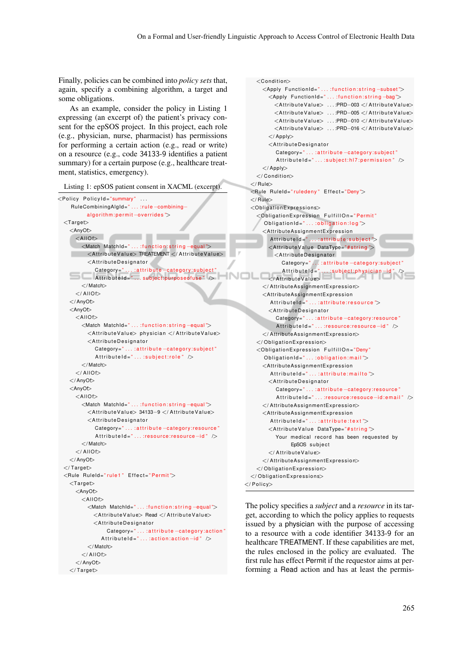Finally, policies can be combined into *policy sets* that, again, specify a combining algorithm, a target and some obligations.

As an example, consider the policy in Listing 1 expressing (an excerpt of) the patient's privacy consent for the epSOS project. In this project, each role (e.g., physician, nurse, pharmacist) has permissions for performing a certain action (e.g., read or write) on a resource (e.g., code 34133-9 identifies a patient summary) for a certain purpose (e.g., healthcare treatment, statistics, emergency).

Listing 1: epSOS patient consent in XACML (excerpt).

| <policy <="" policyid="summary" th=""><th></th></policy>                        |  |
|---------------------------------------------------------------------------------|--|
| RuleCombiningAlgId=":rule-combining-                                            |  |
| $algorithm:permit-overides$                                                     |  |
| $<$ Target $>$                                                                  |  |
| <anyof></anyof>                                                                 |  |
| $\leq$ AllOf $>$                                                                |  |
| <match matchid=":function:string-equal"></match>                                |  |
| <attributevalue> TREATEMENT </attributevalue>                                   |  |
| $<$ AttributeDesignator                                                         |  |
| Category=":attribute-category:subject"<br>AttributeId="subject:purposeofuse" /> |  |
| $\lt$ /Match $>$                                                                |  |
| $<$ /AllOf $>$                                                                  |  |
|                                                                                 |  |
| <anyot></anyot>                                                                 |  |
| $<$ AllOf $>$                                                                   |  |
| <match matchid=":function:string-equal"></match>                                |  |
| <attributevalue> physician </attributevalue>                                    |  |
| <attributedesignator< td=""><td></td></attributedesignator<>                    |  |
| Category=":attribute-category:subject"                                          |  |
| AttributeId= $"\dots$ :subject:role $"\triangleright$                           |  |
| $\lt$ /Match $>$                                                                |  |
| $<$ /AllOf $>$                                                                  |  |
|                                                                                 |  |
| <anyot></anyot>                                                                 |  |
| $<$ AllOf $>$                                                                   |  |
| <match matchid=":function:string-equal"></match>                                |  |
| <attributevalue> 34133-9 </attributevalue>                                      |  |
| <attributedesignator< td=""><td></td></attributedesignator<>                    |  |
| Category=":attribute-category:resource"                                         |  |
| $AttributeId = ":resource:resource-id"$                                         |  |
| $\lt$ /Match $>$                                                                |  |
| $<$ /AllOf $>$                                                                  |  |
|                                                                                 |  |
| $\langle$ /Target $\rangle$                                                     |  |
| <rule effect="Permit" ruleid="rule1"></rule>                                    |  |
| $<$ Target $>$                                                                  |  |
| <anyof></anyof>                                                                 |  |
| $\leq$ AllOf $>$                                                                |  |
| <match matchid=":function:string-equal"></match>                                |  |
| <attributevalue> Read </attributevalue>                                         |  |
| $<$ AttributeDesignator                                                         |  |
| Category=":attribute-category:action"                                           |  |
| AttributeId=":action:action-id" />                                              |  |
| $\lt$ /Match $>$                                                                |  |
| $\langle$ /AllOf $>$                                                            |  |
|                                                                                 |  |
| $\langle$ /Target $\rangle$                                                     |  |

```
<Condition><Apply FunctionId=" ... :function:string -subset">
        <Apply FunctionId="... :function:string-bag">
          <AttributeValue> ...:PRD-003 </AttributeValue>
          <AttributeValue> ...:PRD-005 </AttributeValue>
          <AttributeValue> ...:PRD-010 </AttributeValue>
           <AttributeValue> ... :PRD-016 </AttributeValue>
        \langle/Apply>
         <AttributeDesignator
           Category=" . . . : attribute -category: subject"
           AttributeId="\dots:subject:hl7:permission" \triangleright\langle Apply\rangle\langle / Condition\rangle\langle/ Rule>
  <Rule RuleId="ruledeny" Effect="Deny">
  </ Rule><ObligationExpressions><ObligationExpression FulfillOn="Permit"
       Obligation Id = " \dots : obligation : log "<AttributeAssignmentExpression
         AttributeId="... :attribute:subject">
         <AttributeValue DataType="#string">
         \sim <AttributeDesignator
              Category=" . . . : attribute -category: subject"
              AttributeId="... :subject:physician-id" />
         \langle/ Attribute Value>
      \langle AttributeAssignmentExpression>
      \leqAttributeAssignmentExpression
         AttributeId=" ... :attribute:resource ">
         <AttributeDesignator
           Category=" . . . : attribute –category: resource"
           AttributeId=" ... :resource:resource−id" />
       \langle/AttributeAssignmentExpression>
    \langle Obligation Expression>
    <ObligationExpression FulfillOn="Deny"
       Obligational = " ... : obligation:mail"<AttributeAssignmentExpression
         AttributeId = " \dots : \text{attribute} : \text{mailto} "><AttributeDesignator
           Category=" . . . : attribute -category: resource"
           AttributeId=" . . . : resource: resouce–id: email " />
      \langle AttributeAssignmentExpression>
      <AttributeAssignmentExpression
         AttributeId = " ... : attribute: text"<AttributeValue DataType="#string">
           Your medical record has been requested by
                 EpSOS subject
        \langle/AttributeValue>
      \langle AttributeAssignmentExpression>
    \langle / Obligation Expression >
  \langle Obligation Expressions>
\langle/ Policy>
```
The policy specifies a *subject* and a *resource* in its target, according to which the policy applies to requests issued by a physician with the purpose of accessing to a resource with a code identifier 34133-9 for an healthcare TREATMENT. If these capabilities are met, the rules enclosed in the policy are evaluated. The first rule has effect Permit if the requestor aims at performing a Read action and has at least the permis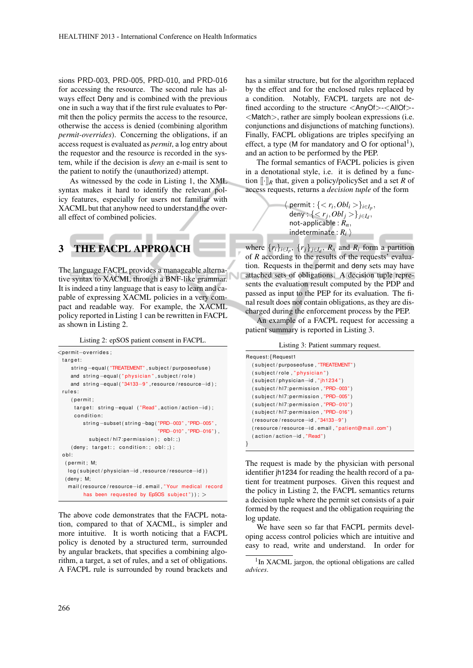sions PRD-003, PRD-005, PRD-010, and PRD-016 for accessing the resource. The second rule has always effect Deny and is combined with the previous one in such a way that if the first rule evaluates to Permit then the policy permits the access to the resource, otherwise the access is denied (combining algorithm *permit-overrides*). Concerning the obligations, if an access request is evaluated as *permit*, a log entry about the requestor and the resource is recorded in the system, while if the decision is *deny* an e-mail is sent to the patient to notify the (unauthorized) attempt.

As witnessed by the code in Listing 1, the XML syntax makes it hard to identify the relevant policy features, especially for users not familiar with XACML but that anyhow need to understand the overall effect of combined policies.

## 3 THE FACPL APPROACH

The language FACPL provides a manageable alternative syntax to XACML through a BNF-like grammar. It is indeed a tiny language that is easy to learn and capable of expressing XACML policies in a very compact and readable way. For example, the XACML policy reported in Listing 1 can be rewritten in FACPL as shown in Listing 2.

Listing 2: epSOS patient consent in FACPL.

```
<pe rmit−o v e r r i d e s ;
 target:
    string-equal ("TREATEMENT", subject/purposeofuse)
    and string-equal ("physician", subject/role)
    and string-equal ("34133-9", resource/resource-id);
 rules:
    (permit:
     target: string-equal ("Read", action/action-id);
     condition:
         string-subset(string-bag("PRD-003","PRD-005",
                                    "PRD−010" , "PRD−016" ) ,
           subject / h17: permutations on ; ob[:; )(deny; target.; condition.; obj.;);o b l :
  ( permit : M:
   log (subject/physician−id, resource/resource-id))
  ( deny ; M;
   mail ( resource / resource-id . email , " Your medical record
         has been requested by EpSOS subject") ); >
```
The above code demonstrates that the FACPL notation, compared to that of XACML, is simpler and more intuitive. It is worth noticing that a FACPL policy is denoted by a structured term, surrounded by angular brackets, that specifies a combining algorithm, a target, a set of rules, and a set of obligations. A FACPL rule is surrounded by round brackets and has a similar structure, but for the algorithm replaced by the effect and for the enclosed rules replaced by a condition. Notably, FACPL targets are not defined according to the structure <AnyOf>-<AllOf>- <Match>, rather are simply boolean expressions (i.e. conjunctions and disjunctions of matching functions). Finally, FACPL obligations are triples specifying an effect, a type (M for mandatory and O for optional<sup>1</sup>), and an action to be performed by the PEP.

The formal semantics of FACPL policies is given in a denotational style, i.e. it is defined by a function  $\lbrack \cdot \rbrack_R$  that, given a policy/policySet and a set *R* of access requests, returns a *decision tuple* of the form

> $\langle$  permit :  $\{< r_i, Obl_i > \}_{i \in I_p},$  $\{\langle r_j, Obl_j \rangle\}_{j \in I_d},$ not-applicable : *Rn*, indeterminate :  $R_i$   $\rangle$

where  $\{r_i\}_{i \in I_p}, \{r_j\}_{j \in I_d}, R_n$  and  $R_i$  form a partition of *R* according to the results of the requests' evaluation. Requests in the permit and deny sets may have attached sets of obligations. A decision tuple represents the evaluation result computed by the PDP and passed as input to the PEP for its evaluation. The final result does not contain obligations, as they are discharged during the enforcement process by the PEP.

An example of a FACPL request for accessing a patient summary is reported in Listing 3.

Listing 3: Patient summary request.

| Request: {Request1                              |
|-------------------------------------------------|
| (subject/purposeofuse, "TREATEMENT")            |
| (subject/role,"physician")                      |
| $(subject/physical-id, "jh1234")$               |
| (subject/hl7:permission,"PRD-003")              |
| (subject/hl7:permission,"PRD-005")              |
| (subject/hl7:permission,"PRD-010")              |
| (subject/hl7:permission,"PRD-016")              |
| $(resource/resource-id, "34133-9")$             |
| (resource/resource-id.email,"patient@mail.com") |
| (action/action-id, "Read")                      |
|                                                 |

The request is made by the physician with personal identifier jh1234 for reading the health record of a patient for treatment purposes. Given this request and the policy in Listing 2, the FACPL semantics returns a decision tuple where the permit set consists of a pair formed by the request and the obligation requiring the log update.

We have seen so far that FACPL permits developing access control policies which are intuitive and easy to read, write and understand. In order for

<sup>&</sup>lt;sup>1</sup>In XACML jargon, the optional obligations are called *advices*.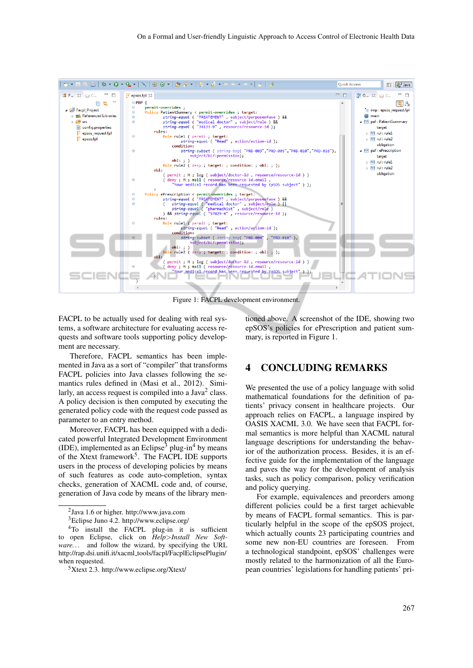

Figure 1: FACPL development environment.

FACPL to be actually used for dealing with real systems, a software architecture for evaluating access requests and software tools supporting policy development are necessary.

Therefore, FACPL semantics has been implemented in Java as a sort of "compiler" that transforms FACPL policies into Java classes following the semantics rules defined in (Masi et al., 2012). Similarly, an access request is compiled into a Java<sup>2</sup> class. A policy decision is then computed by executing the generated policy code with the request code passed as parameter to an entry method.

Moreover, FACPL has been equipped with a dedicated powerful Integrated Development Environment  $(IDE)$ , implemented as an Eclipse<sup>3</sup> plug-in<sup>4</sup> by means of the Xtext framework<sup>5</sup>. The FACPL IDE supports users in the process of developing policies by means of such features as code auto-completion, syntax checks, generation of XACML code and, of course, generation of Java code by means of the library men-

tioned above. A screenshot of the IDE, showing two epSOS's policies for ePrescription and patient summary, is reported in Figure 1.

#### 4 CONCLUDING REMARKS

We presented the use of a policy language with solid mathematical foundations for the definition of patients' privacy consent in healthcare projects. Our approach relies on FACPL, a language inspired by OASIS XACML 3.0. We have seen that FACPL formal semantics is more helpful than XACML natural language descriptions for understanding the behavior of the authorization process. Besides, it is an effective guide for the implementation of the language and paves the way for the development of analysis tasks, such as policy comparison, policy verification and policy querying.

For example, equivalences and preorders among different policies could be a first target achievable by means of FACPL formal semantics. This is particularly helpful in the scope of the epSOS project, which actually counts 23 participating countries and some new non-EU countries are foreseen. From a technological standpoint, epSOS' challenges were mostly related to the harmonization of all the European countries' legislations for handling patients' pri-

<sup>2</sup> Java 1.6 or higher. http://www.java.com

<sup>3</sup>Eclipse Juno 4.2. http://www.eclipse.org/

<sup>&</sup>lt;sup>4</sup>To install the FACPL plug-in it is sufficient to open Eclipse, click on *Help*>*Install New Software. . .* and follow the wizard, by specifying the URL http://rap.dsi.unifi.it/xacml tools/facpl/FacplEclipsePlugin/ when requested.

 $5X$ text 2.3. http://www.eclipse.org/Xtext/